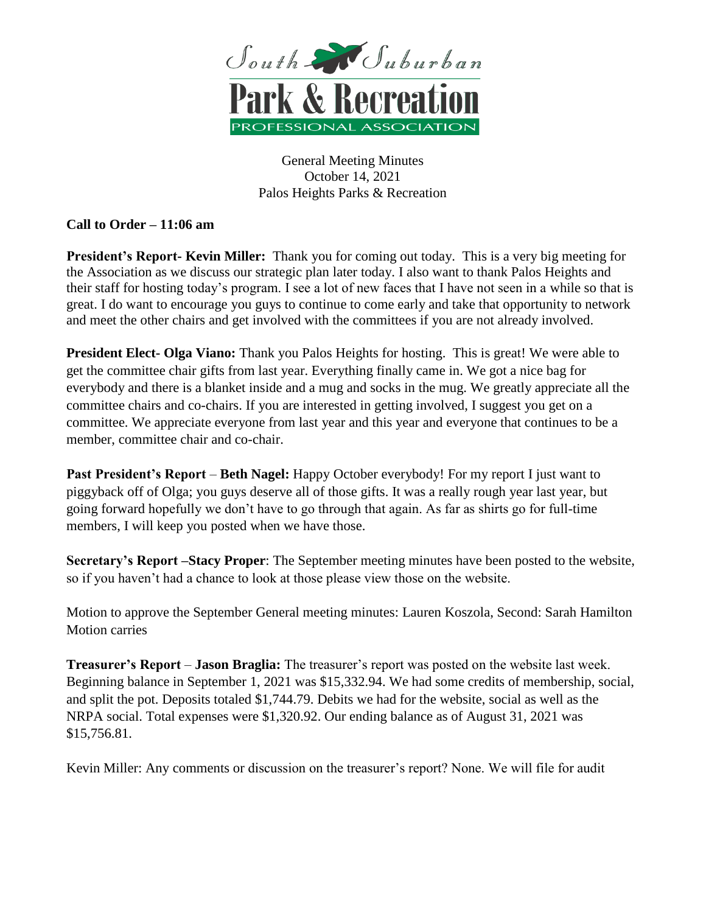

General Meeting Minutes October 14, 2021 Palos Heights Parks & Recreation

## **Call to Order – 11:06 am**

**President's Report- Kevin Miller:** Thank you for coming out today. This is a very big meeting for the Association as we discuss our strategic plan later today. I also want to thank Palos Heights and their staff for hosting today's program. I see a lot of new faces that I have not seen in a while so that is great. I do want to encourage you guys to continue to come early and take that opportunity to network and meet the other chairs and get involved with the committees if you are not already involved.

**President Elect- Olga Viano:** Thank you Palos Heights for hosting. This is great! We were able to get the committee chair gifts from last year. Everything finally came in. We got a nice bag for everybody and there is a blanket inside and a mug and socks in the mug. We greatly appreciate all the committee chairs and co-chairs. If you are interested in getting involved, I suggest you get on a committee. We appreciate everyone from last year and this year and everyone that continues to be a member, committee chair and co-chair.

**Past President's Report** – **Beth Nagel:** Happy October everybody! For my report I just want to piggyback off of Olga; you guys deserve all of those gifts. It was a really rough year last year, but going forward hopefully we don't have to go through that again. As far as shirts go for full-time members, I will keep you posted when we have those.

**Secretary's Report –Stacy Proper**: The September meeting minutes have been posted to the website, so if you haven't had a chance to look at those please view those on the website.

Motion to approve the September General meeting minutes: Lauren Koszola, Second: Sarah Hamilton Motion carries

**Treasurer's Report** – **Jason Braglia:** The treasurer's report was posted on the website last week. Beginning balance in September 1, 2021 was \$15,332.94. We had some credits of membership, social, and split the pot. Deposits totaled \$1,744.79. Debits we had for the website, social as well as the NRPA social. Total expenses were \$1,320.92. Our ending balance as of August 31, 2021 was \$15,756.81.

Kevin Miller: Any comments or discussion on the treasurer's report? None. We will file for audit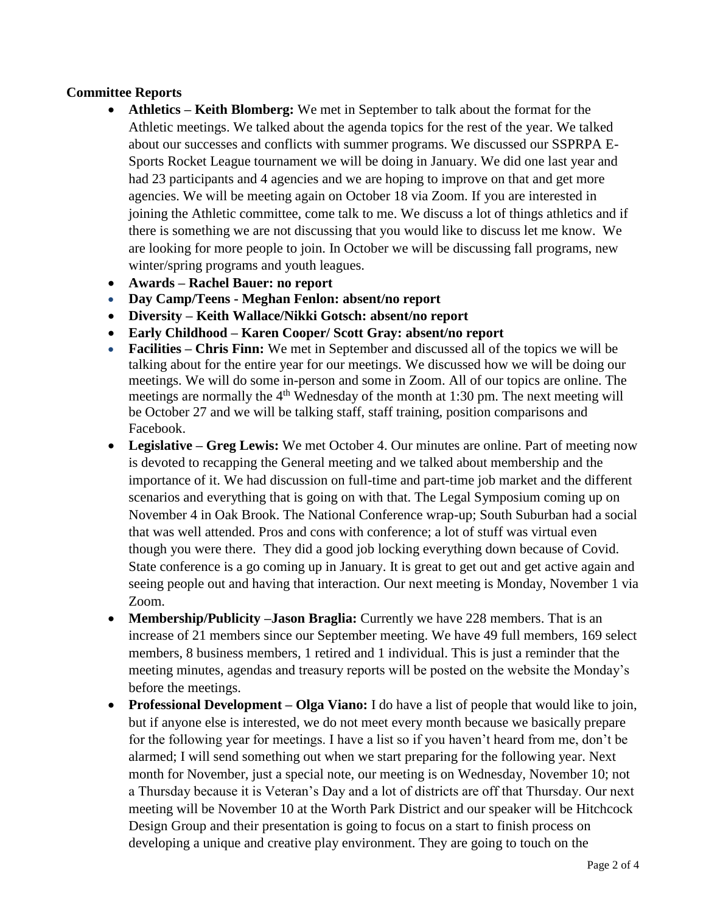### **Committee Reports**

- **Athletics – Keith Blomberg:** We met in September to talk about the format for the Athletic meetings. We talked about the agenda topics for the rest of the year. We talked about our successes and conflicts with summer programs. We discussed our SSPRPA E-Sports Rocket League tournament we will be doing in January. We did one last year and had 23 participants and 4 agencies and we are hoping to improve on that and get more agencies. We will be meeting again on October 18 via Zoom. If you are interested in joining the Athletic committee, come talk to me. We discuss a lot of things athletics and if there is something we are not discussing that you would like to discuss let me know. We are looking for more people to join. In October we will be discussing fall programs, new winter/spring programs and youth leagues.
- **Awards – Rachel Bauer: no report**
- **Day Camp/Teens - Meghan Fenlon: absent/no report**
- **Diversity – Keith Wallace/Nikki Gotsch: absent/no report**
- **Early Childhood – Karen Cooper/ Scott Gray: absent/no report**
- **Facilities – Chris Finn:** We met in September and discussed all of the topics we will be talking about for the entire year for our meetings. We discussed how we will be doing our meetings. We will do some in-person and some in Zoom. All of our topics are online. The meetings are normally the  $4<sup>th</sup>$  Wednesday of the month at 1:30 pm. The next meeting will be October 27 and we will be talking staff, staff training, position comparisons and Facebook.
- **Legislative – Greg Lewis:** We met October 4. Our minutes are online. Part of meeting now is devoted to recapping the General meeting and we talked about membership and the importance of it. We had discussion on full-time and part-time job market and the different scenarios and everything that is going on with that. The Legal Symposium coming up on November 4 in Oak Brook. The National Conference wrap-up; South Suburban had a social that was well attended. Pros and cons with conference; a lot of stuff was virtual even though you were there. They did a good job locking everything down because of Covid. State conference is a go coming up in January. It is great to get out and get active again and seeing people out and having that interaction. Our next meeting is Monday, November 1 via Zoom.
- **Membership/Publicity –Jason Braglia:** Currently we have 228 members. That is an increase of 21 members since our September meeting. We have 49 full members, 169 select members, 8 business members, 1 retired and 1 individual. This is just a reminder that the meeting minutes, agendas and treasury reports will be posted on the website the Monday's before the meetings.
- **Professional Development – Olga Viano:** I do have a list of people that would like to join, but if anyone else is interested, we do not meet every month because we basically prepare for the following year for meetings. I have a list so if you haven't heard from me, don't be alarmed; I will send something out when we start preparing for the following year. Next month for November, just a special note, our meeting is on Wednesday, November 10; not a Thursday because it is Veteran's Day and a lot of districts are off that Thursday. Our next meeting will be November 10 at the Worth Park District and our speaker will be Hitchcock Design Group and their presentation is going to focus on a start to finish process on developing a unique and creative play environment. They are going to touch on the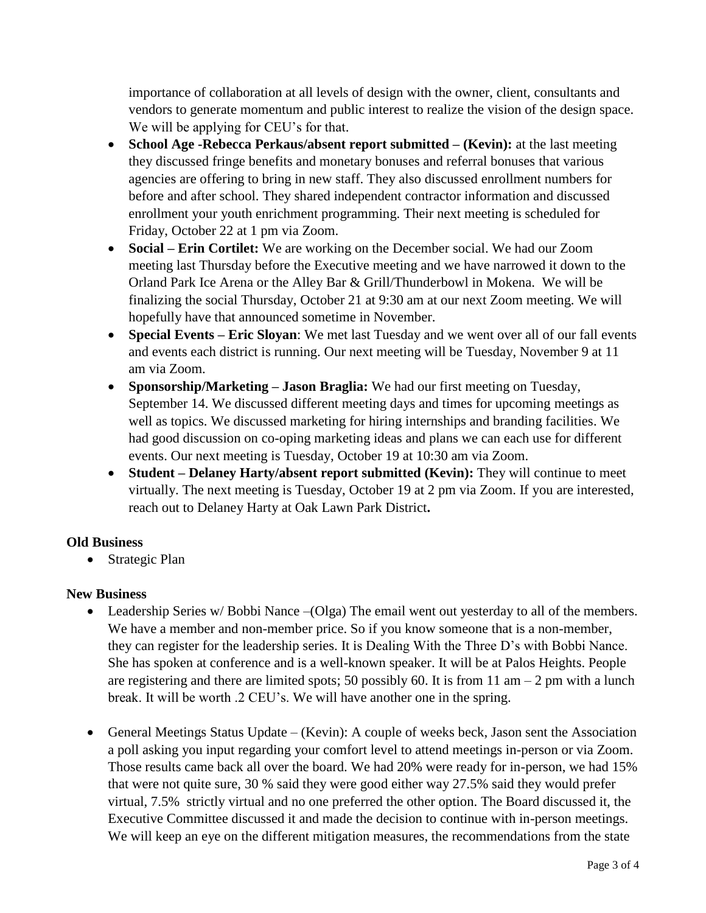importance of collaboration at all levels of design with the owner, client, consultants and vendors to generate momentum and public interest to realize the vision of the design space. We will be applying for CEU's for that.

- **School Age -Rebecca Perkaus/absent report submitted – (Kevin):** at the last meeting they discussed fringe benefits and monetary bonuses and referral bonuses that various agencies are offering to bring in new staff. They also discussed enrollment numbers for before and after school. They shared independent contractor information and discussed enrollment your youth enrichment programming. Their next meeting is scheduled for Friday, October 22 at 1 pm via Zoom.
- **Social – Erin Cortilet:** We are working on the December social. We had our Zoom meeting last Thursday before the Executive meeting and we have narrowed it down to the Orland Park Ice Arena or the Alley Bar & Grill/Thunderbowl in Mokena. We will be finalizing the social Thursday, October 21 at 9:30 am at our next Zoom meeting. We will hopefully have that announced sometime in November.
- **Special Events – Eric Sloyan**: We met last Tuesday and we went over all of our fall events and events each district is running. Our next meeting will be Tuesday, November 9 at 11 am via Zoom.
- **Sponsorship/Marketing – Jason Braglia:** We had our first meeting on Tuesday, September 14. We discussed different meeting days and times for upcoming meetings as well as topics. We discussed marketing for hiring internships and branding facilities. We had good discussion on co-oping marketing ideas and plans we can each use for different events. Our next meeting is Tuesday, October 19 at 10:30 am via Zoom.
- **Student – Delaney Harty/absent report submitted (Kevin):** They will continue to meet virtually. The next meeting is Tuesday, October 19 at 2 pm via Zoom. If you are interested, reach out to Delaney Harty at Oak Lawn Park District**.**

# **Old Business**

• Strategic Plan

## **New Business**

- Leadership Series w/ Bobbi Nance –(Olga) The email went out yesterday to all of the members. We have a member and non-member price. So if you know someone that is a non-member, they can register for the leadership series. It is Dealing With the Three D's with Bobbi Nance. She has spoken at conference and is a well-known speaker. It will be at Palos Heights. People are registering and there are limited spots; 50 possibly 60. It is from 11 am  $-2$  pm with a lunch break. It will be worth .2 CEU's. We will have another one in the spring.
- General Meetings Status Update (Kevin): A couple of weeks beck, Jason sent the Association a poll asking you input regarding your comfort level to attend meetings in-person or via Zoom. Those results came back all over the board. We had 20% were ready for in-person, we had 15% that were not quite sure, 30 % said they were good either way 27.5% said they would prefer virtual, 7.5% strictly virtual and no one preferred the other option. The Board discussed it, the Executive Committee discussed it and made the decision to continue with in-person meetings. We will keep an eye on the different mitigation measures, the recommendations from the state